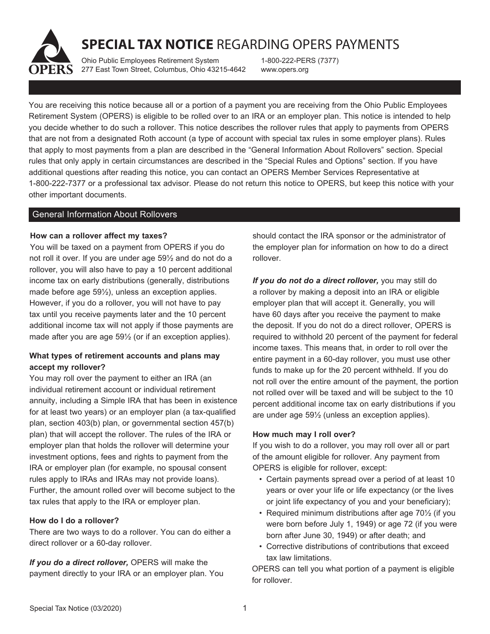# **SPECIAL TAX NOTICE** REGARDING OPERS PAYMENTS

Ohio Public Employees Retirement System 277 East Town Street, Columbus, Ohio 43215-4642

1-800-222-PERS (7377) www.opers.org

You are receiving this notice because all or a portion of a payment you are receiving from the Ohio Public Employees Retirement System (OPERS) is eligible to be rolled over to an IRA or an employer plan. This notice is intended to help you decide whether to do such a rollover. This notice describes the rollover rules that apply to payments from OPERS that are not from a designated Roth account (a type of account with special tax rules in some employer plans). Rules that apply to most payments from a plan are described in the "General Information About Rollovers" section. Special rules that only apply in certain circumstances are described in the "Special Rules and Options" section. If you have additional questions after reading this notice, you can contact an OPERS Member Services Representative at 1-800-222-7377 or a professional tax advisor. Please do not return this notice to OPERS, but keep this notice with your other important documents.

## General Information About Rollovers

## **How can a rollover affect my taxes?**

You will be taxed on a payment from OPERS if you do not roll it over. If you are under age 59½ and do not do a rollover, you will also have to pay a 10 percent additional income tax on early distributions (generally, distributions made before age 59½), unless an exception applies. However, if you do a rollover, you will not have to pay tax until you receive payments later and the 10 percent additional income tax will not apply if those payments are made after you are age 59½ (or if an exception applies).

# **What types of retirement accounts and plans may accept my rollover?**

You may roll over the payment to either an IRA (an individual retirement account or individual retirement annuity, including a Simple IRA that has been in existence for at least two years) or an employer plan (a tax-qualified plan, section 403(b) plan, or governmental section 457(b) plan) that will accept the rollover. The rules of the IRA or employer plan that holds the rollover will determine your investment options, fees and rights to payment from the IRA or employer plan (for example, no spousal consent rules apply to IRAs and IRAs may not provide loans). Further, the amount rolled over will become subject to the tax rules that apply to the IRA or employer plan.

## **How do I do a rollover?**

There are two ways to do a rollover. You can do either a direct rollover or a 60-day rollover.

*If you do a direct rollover,* OPERS will make the payment directly to your IRA or an employer plan. You should contact the IRA sponsor or the administrator of the employer plan for information on how to do a direct rollover.

*If you do not do a direct rollover,* you may still do a rollover by making a deposit into an IRA or eligible employer plan that will accept it. Generally, you will have 60 days after you receive the payment to make the deposit. If you do not do a direct rollover, OPERS is required to withhold 20 percent of the payment for federal income taxes. This means that, in order to roll over the entire payment in a 60-day rollover, you must use other funds to make up for the 20 percent withheld. If you do not roll over the entire amount of the payment, the portion not rolled over will be taxed and will be subject to the 10 percent additional income tax on early distributions if you are under age 59½ (unless an exception applies).

## **How much may I roll over?**

If you wish to do a rollover, you may roll over all or part of the amount eligible for rollover. Any payment from OPERS is eligible for rollover, except:

- Certain payments spread over a period of at least 10 years or over your life or life expectancy (or the lives or joint life expectancy of you and your beneficiary);
- Required minimum distributions after age 70<sup>1/2</sup> (if you were born before July 1, 1949) or age 72 (if you were born after June 30, 1949) or after death; and
- Corrective distributions of contributions that exceed tax law limitations.

OPERS can tell you what portion of a payment is eligible for rollover.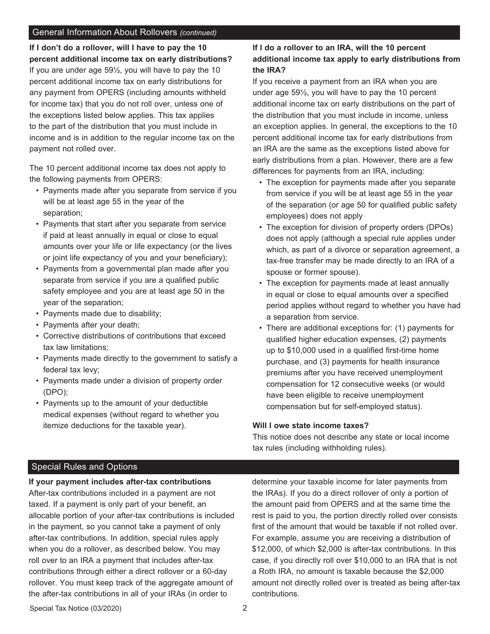## General Information About Rollovers *(continued)*

**If I don't do a rollover, will I have to pay the 10 percent additional income tax on early distributions?**  If you are under age 59½, you will have to pay the 10 percent additional income tax on early distributions for any payment from OPERS (including amounts withheld for income tax) that you do not roll over, unless one of the exceptions listed below applies. This tax applies to the part of the distribution that you must include in income and is in addition to the regular income tax on the payment not rolled over.

The 10 percent additional income tax does not apply to the following payments from OPERS:

- Payments made after you separate from service if you will be at least age 55 in the year of the separation;
- Payments that start after you separate from service if paid at least annually in equal or close to equal amounts over your life or life expectancy (or the lives or joint life expectancy of you and your beneficiary);
- Payments from a governmental plan made after you separate from service if you are a qualified public safety employee and you are at least age 50 in the year of the separation;
- Payments made due to disability;
- Payments after your death;
- Corrective distributions of contributions that exceed tax law limitations;
- Payments made directly to the government to satisfy a federal tax levy;
- Payments made under a division of property order (DPO);
- Payments up to the amount of your deductible medical expenses (without regard to whether you itemize deductions for the taxable year).

# **If I do a rollover to an IRA, will the 10 percent additional income tax apply to early distributions from the IRA?**

If you receive a payment from an IRA when you are under age 59½, you will have to pay the 10 percent additional income tax on early distributions on the part of the distribution that you must include in income, unless an exception applies. In general, the exceptions to the 10 percent additional income tax for early distributions from an IRA are the same as the exceptions listed above for early distributions from a plan. However, there are a few differences for payments from an IRA, including:

- The exception for payments made after you separate from service if you will be at least age 55 in the year of the separation (or age 50 for qualified public safety employees) does not apply
- The exception for division of property orders (DPOs) does not apply (although a special rule applies under which, as part of a divorce or separation agreement, a tax-free transfer may be made directly to an IRA of a spouse or former spouse).
- The exception for payments made at least annually in equal or close to equal amounts over a specified period applies without regard to whether you have had a separation from service.
- There are additional exceptions for: (1) payments for qualified higher education expenses, (2) payments up to \$10,000 used in a qualified first-time home purchase, and (3) payments for health insurance premiums after you have received unemployment compensation for 12 consecutive weeks (or would have been eligible to receive unemployment compensation but for self-employed status).

#### **Will I owe state income taxes?**

This notice does not describe any state or local income tax rules (including withholding rules).

## Special Rules and Options

**If your payment includes after-tax contributions** 

After-tax contributions included in a payment are not taxed. If a payment is only part of your benefit, an allocable portion of your after-tax contributions is included in the payment, so you cannot take a payment of only after-tax contributions. In addition, special rules apply when you do a rollover, as described below. You may roll over to an IRA a payment that includes after-tax contributions through either a direct rollover or a 60-day rollover. You must keep track of the aggregate amount of the after-tax contributions in all of your IRAs (in order to

determine your taxable income for later payments from the IRAs). If you do a direct rollover of only a portion of the amount paid from OPERS and at the same time the rest is paid to you, the portion directly rolled over consists first of the amount that would be taxable if not rolled over. For example, assume you are receiving a distribution of \$12,000, of which \$2,000 is after-tax contributions. In this case, if you directly roll over \$10,000 to an IRA that is not a Roth IRA, no amount is taxable because the \$2,000 amount not directly rolled over is treated as being after-tax contributions.

Special Tax Notice (03/2020)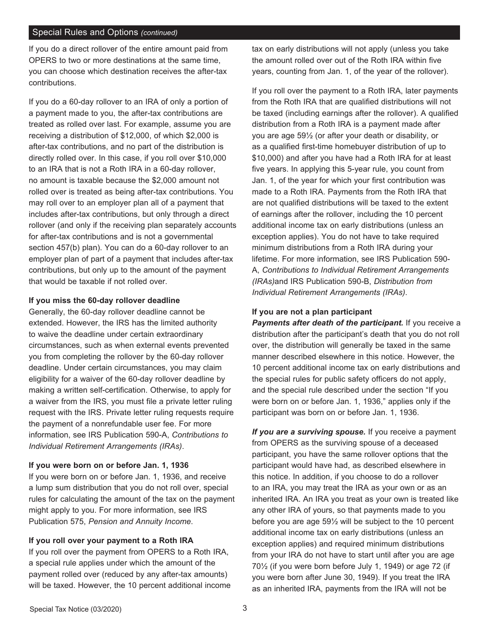## Special Rules and Options *(continued)*

If you do a direct rollover of the entire amount paid from OPERS to two or more destinations at the same time, you can choose which destination receives the after-tax contributions.

If you do a 60-day rollover to an IRA of only a portion of a payment made to you, the after-tax contributions are treated as rolled over last. For example, assume you are receiving a distribution of \$12,000, of which \$2,000 is after-tax contributions, and no part of the distribution is directly rolled over. In this case, if you roll over \$10,000 to an IRA that is not a Roth IRA in a 60-day rollover, no amount is taxable because the \$2,000 amount not rolled over is treated as being after-tax contributions. You may roll over to an employer plan all of a payment that includes after-tax contributions, but only through a direct rollover (and only if the receiving plan separately accounts for after-tax contributions and is not a governmental section 457(b) plan). You can do a 60-day rollover to an employer plan of part of a payment that includes after-tax contributions, but only up to the amount of the payment that would be taxable if not rolled over.

#### **If you miss the 60-day rollover deadline**

Generally, the 60-day rollover deadline cannot be extended. However, the IRS has the limited authority to waive the deadline under certain extraordinary circumstances, such as when external events prevented you from completing the rollover by the 60-day rollover deadline. Under certain circumstances, you may claim eligibility for a waiver of the 60-day rollover deadline by making a written self-certification. Otherwise, to apply for a waiver from the IRS, you must file a private letter ruling request with the IRS. Private letter ruling requests require the payment of a nonrefundable user fee. For more information, see IRS Publication 590-A, *Contributions to Individual Retirement Arrangements (IRAs)*.

#### **If you were born on or before Jan. 1, 1936**

If you were born on or before Jan. 1, 1936, and receive a lump sum distribution that you do not roll over, special rules for calculating the amount of the tax on the payment might apply to you. For more information, see IRS Publication 575, *Pension and Annuity Income*.

## **If you roll over your payment to a Roth IRA**

If you roll over the payment from OPERS to a Roth IRA, a special rule applies under which the amount of the payment rolled over (reduced by any after-tax amounts) will be taxed. However, the 10 percent additional income tax on early distributions will not apply (unless you take the amount rolled over out of the Roth IRA within five years, counting from Jan. 1, of the year of the rollover).

If you roll over the payment to a Roth IRA, later payments from the Roth IRA that are qualified distributions will not be taxed (including earnings after the rollover). A qualified distribution from a Roth IRA is a payment made after you are age 59½ (or after your death or disability, or as a qualified first-time homebuyer distribution of up to \$10,000) and after you have had a Roth IRA for at least five years. In applying this 5-year rule, you count from Jan. 1, of the year for which your first contribution was made to a Roth IRA. Payments from the Roth IRA that are not qualified distributions will be taxed to the extent of earnings after the rollover, including the 10 percent additional income tax on early distributions (unless an exception applies). You do not have to take required minimum distributions from a Roth IRA during your lifetime. For more information, see IRS Publication 590- A, *Contributions to Individual Retirement Arrangements (IRAs)*and IRS Publication 590-B, *Distribution from Individual Retirement Arrangements (IRAs)*.

## **If you are not a plan participant**

*Payments after death of the participant.* If you receive a distribution after the participant's death that you do not roll over, the distribution will generally be taxed in the same manner described elsewhere in this notice. However, the 10 percent additional income tax on early distributions and the special rules for public safety officers do not apply, and the special rule described under the section "If you were born on or before Jan. 1, 1936," applies only if the participant was born on or before Jan. 1, 1936.

*If you are a surviving spouse.* If you receive a payment from OPERS as the surviving spouse of a deceased participant, you have the same rollover options that the participant would have had, as described elsewhere in this notice. In addition, if you choose to do a rollover to an IRA, you may treat the IRA as your own or as an inherited IRA. An IRA you treat as your own is treated like any other IRA of yours, so that payments made to you before you are age 59½ will be subject to the 10 percent additional income tax on early distributions (unless an exception applies) and required minimum distributions from your IRA do not have to start until after you are age 70½ (if you were born before July 1, 1949) or age 72 (if you were born after June 30, 1949). If you treat the IRA as an inherited IRA, payments from the IRA will not be